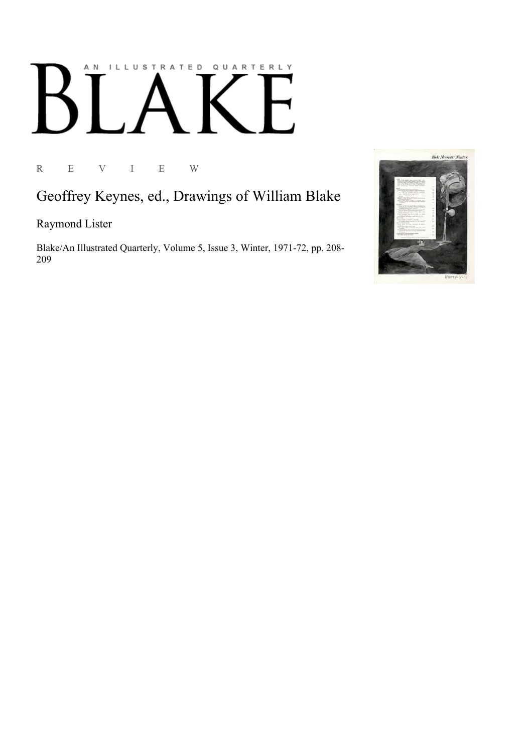## AN ILLUSTRATED QUARTERLY

R E V I E W

## Geoffrey Keynes, ed., Drawings of William Blake

Raymond Lister

Blake/An Illustrated Quarterly, Volume 5, Issue 3, Winter, 1971-72, pp. 208-209

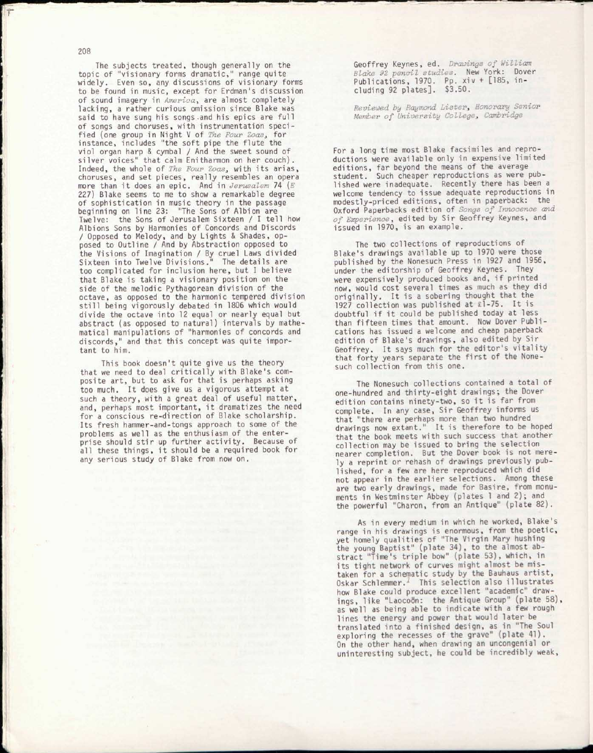The subjects treated, though generally on the topic of "visionary forms dramatic," range quite widely. Even so, any discussions of visionary forms to be found in music, except for Erdman's discussion of sound imagery in America, are almost completely lacking, a rather curious omission since Blake was said to have sung his songs .and his epics are full of songs and choruses, with instrumentation specified (one group in Night V of *The Four Zoass* for instance, includes "the soft pipe the flute the viol organ harp & cymbal / And the sweet sound of silver voices" that calm Enitharmon on her couch). Indeed, the whole of *The Four Zoas*, with its arias, choruses, and set pieces, really resembles an opera more than it does an epic. And in *Jerusalem* 74 *(E*  227) Blake seems to me to show a remarkable degree of sophistication in music theory in the passage beginning on line 23: "The Sons of Albion are Twelve: the Sons of Jerusalem Sixteen / I tell how Albions Sons by Harmonies of Concords and Discords / Opposed to Melody, and by Lights & Shades, opposed to Outline / And by Abstraction opposed to the Visions of Imagination / By cruel Laws divided Sixteen into Twelve Divisions." The details are too complicated for inclusion here, but I believe that Blake is taking a visionary position on the side of the melodic Pythagorean division of the octave, as opposed to the harmonic tempered division still being vigorously debated in 1806 which would divide the octave into 12 equal or nearly equal but abstract (as opposed to natural) intervals by mathematical manipulations of "harmonies of concords and discords," and that this concept was quite important to him.

This book doesn't quite give us the theory that we need to deal critically with Blake's composite art, but to ask for that is perhaps asking too much. It does give us a vigorous attempt at such a theory, with a great deal of useful matter, and, perhaps most important, it dramatizes the need for a conscious re-direction of Blake scholarship. Its fresh hammer-and-tongs approach to some of the problems as well as the enthusiasm of the enterprise should stir up further activity. Because of all these things, it should be a required book for any serious study of Blake from now on.

Geoffrey Keynes, ed. *Drawings of William Blake 92 pencil studies.* New York: Dover Publications, 1970. Pp. xiv + [185, including 92 plates]. \$3.50.

*Reviewed by Raymond Lister, Honorary Senior Member of University College*, *Cambridge* 

For a long time most Blake facsimiles and reproductions were available only in expensive limited editions, far beyond the means of the average student. Such cheaper reproductions as were published were inadequate. Recently there has been a welcome tendency to issue adequate reproductions in modestly-priced editions, often in paperback: the Oxford Paperbacks edition of *Songs of Innocence and of Experience* , edited by Sir Geoffrey Keynes, and issued in 1970, is an example.

The two collections of reproductions of Blake's drawings available up to 1970 were those published by the Nonesuch Press in 1927 and 1956, under the editorship of Geoffrey Keynes. They were expensively produced books and, if printed now, would cost several times as much as they did originally. It is a sobering thought that the 1927 collection was published at £1-75. It is doubtful if it could be published today at less than fifteen times that amount. Now Dover Publications has issued a welcome and cheap paperback edition of Blake's drawings, also edited by Sir Geoffrey. It says much for the editor's vitality that forty years separate the first of the Nonesuch collection from this one.

The Nonesuch collections contained a total of one-hundred and thirty-eight drawings; the Dover edition contains ninety-two, so it is far from complete. In any case, Sir Geoffrey informs us that "there are perhaps more than two hundred drawings now extant." It is therefore to be hoped that the book meets with such success that another collection may be issued to bring the selection nearer completion. But the Dover book is not merely a reprint or rehash of drawings previously published, for a few are here reproduced which did not appear in the earlier selections. Among these are two early drawings, made for Basire, from monuments in Westminster Abbey (plates 1 and 2) ; and the powerful "Charon, from an Antique" (plate 82).

As in every medium in which he worked, Blake's range in his drawings is enormous, from the poetic, yet homely qualities of "The Virgin Mary hushing the young Baptist" (plate 34), to the almost abstract "Time's triple bow" (plate 53), which, in its tight network of curves might almost be mistaken for a schematic study by the Bauhaus artist, Oskar Schlemmer.<sup>1</sup> This selection also illustrates how Blake could produce excellent "academic" drawings, like "Laocoön: the Antique Group" (plate 58), as well as being able to indicate with a few rough lines the energy and power that would later be translated into a finished design, as in "The Soul exploring the recesses of the grave" (plate 41). On the other hand, when drawing an uncongenial or uninteresting subject, he could be incredibly weak,